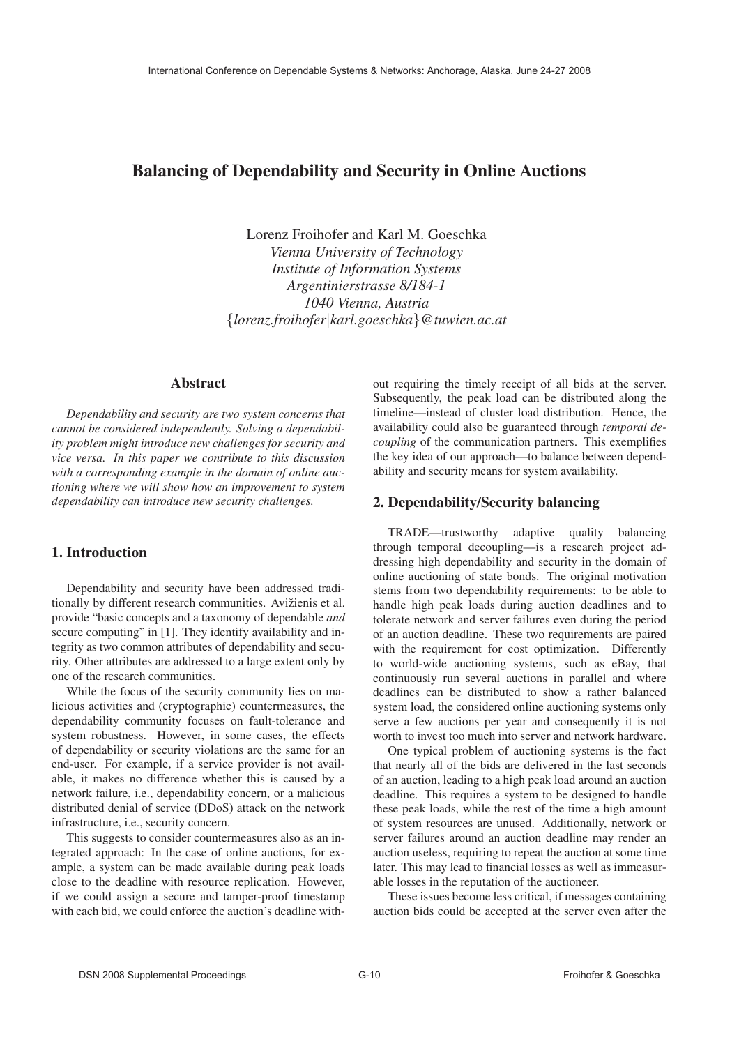# Balancing of Dependability and Security in Online Auctions

Lorenz Froihofer and Karl M. Goeschka *Vienna University of Technology Institute of Information Systems Argentinierstrasse 8/184-1 1040 Vienna, Austria* {*lorenz.froihofer*|*karl.goeschka*}*@tuwien.ac.at*

#### Abstract

*Dependability and security are two system concerns that cannot be considered independently. Solving a dependability problem might introduce new challenges for security and vice versa. In this paper we contribute to this discussion with a corresponding example in the domain of online auctioning where we will show how an improvement to system dependability can introduce new security challenges.*

## 1. Introduction

Dependability and security have been addressed traditionally by different research communities. Avižienis et al. provide "basic concepts and a taxonomy of dependable *and* secure computing" in [1]. They identify availability and integrity as two common attributes of dependability and security. Other attributes are addressed to a large extent only by one of the research communities.

While the focus of the security community lies on malicious activities and (cryptographic) countermeasures, the dependability community focuses on fault-tolerance and system robustness. However, in some cases, the effects of dependability or security violations are the same for an end-user. For example, if a service provider is not available, it makes no difference whether this is caused by a network failure, i.e., dependability concern, or a malicious distributed denial of service (DDoS) attack on the network infrastructure, i.e., security concern.

This suggests to consider countermeasures also as an integrated approach: In the case of online auctions, for example, a system can be made available during peak loads close to the deadline with resource replication. However, if we could assign a secure and tamper-proof timestamp with each bid, we could enforce the auction's deadline without requiring the timely receipt of all bids at the server. Subsequently, the peak load can be distributed along the timeline—instead of cluster load distribution. Hence, the availability could also be guaranteed through *temporal decoupling* of the communication partners. This exemplifies the key idea of our approach—to balance between dependability and security means for system availability.

#### 2. Dependability/Security balancing

TRADE—trustworthy adaptive quality balancing through temporal decoupling—is a research project addressing high dependability and security in the domain of online auctioning of state bonds. The original motivation stems from two dependability requirements: to be able to handle high peak loads during auction deadlines and to tolerate network and server failures even during the period of an auction deadline. These two requirements are paired with the requirement for cost optimization. Differently to world-wide auctioning systems, such as eBay, that continuously run several auctions in parallel and where deadlines can be distributed to show a rather balanced system load, the considered online auctioning systems only serve a few auctions per year and consequently it is not worth to invest too much into server and network hardware.

One typical problem of auctioning systems is the fact that nearly all of the bids are delivered in the last seconds of an auction, leading to a high peak load around an auction deadline. This requires a system to be designed to handle these peak loads, while the rest of the time a high amount of system resources are unused. Additionally, network or server failures around an auction deadline may render an auction useless, requiring to repeat the auction at some time later. This may lead to financial losses as well as immeasurable losses in the reputation of the auctioneer.

These issues become less critical, if messages containing auction bids could be accepted at the server even after the